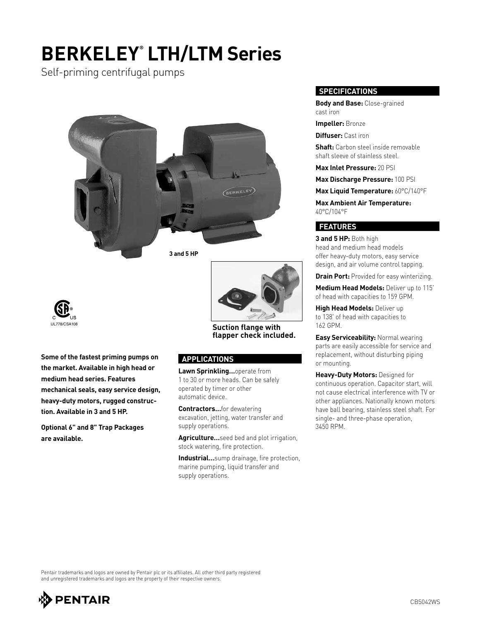Self-priming centrifugal pumps



**3 and 5 HP**



**Some of the fastest priming pumps on the market. Available in high head or medium head series. Features mechanical seals, easy service design, heavy-duty motors, rugged construction. Available in 3 and 5 HP.** 

**Optional 6" and 8" Trap Packages are available.**



**Suction flange with flapper check included.**

#### **APPLICATIONS**

**Lawn Sprinkling…**operate from 1 to 30 or more heads. Can be safely operated by timer or other automatic device.

**Contractors…**for dewatering excavation, jetting, water transfer and supply operations.

**Agriculture…**seed bed and plot irrigation, stock watering, fire protection.

**Industrial…**sump drainage, fire protection, marine pumping, liquid transfer and supply operations.

#### **SPECIFICATIONS**

**Body and Base:** Close-grained cast iron

**Impeller:** Bronze

**Diffuser:** Cast iron

**Shaft:** Carbon steel inside removable shaft sleeve of stainless steel.

**Max Inlet Pressure:** 20 PSI

**Max Discharge Pressure:** 100 PSI

**Max Liquid Temperature:** 60°C/140°F

**Max Ambient Air Temperature:**  40°C/104°F

#### **FEATURES**

**3 and 5 HP:** Both high head and medium head models offer heavy-duty motors, easy service design, and air volume control tapping.

**Drain Port: Provided for easy winterizing.** 

**Medium Head Models:** Deliver up to 115' of head with capacities to 159 GPM.

**High Head Models:** Deliver up to 138' of head with capacities to 162 GPM.

**Easy Serviceability:** Normal wearing parts are easily accessible for service and replacement, without disturbing piping or mounting.

**Heavy-Duty Motors: Designed for** continuous operation. Capacitor start, will not cause electrical interference with TV or other appliances. Nationally known motors have ball bearing, stainless steel shaft. For single- and three-phase operation, 3450 RPM.

Pentair trademarks and logos are owned by Pentair plc or its affiliates. All other third party registered and unregistered trademarks and logos are the property of their respective owners.

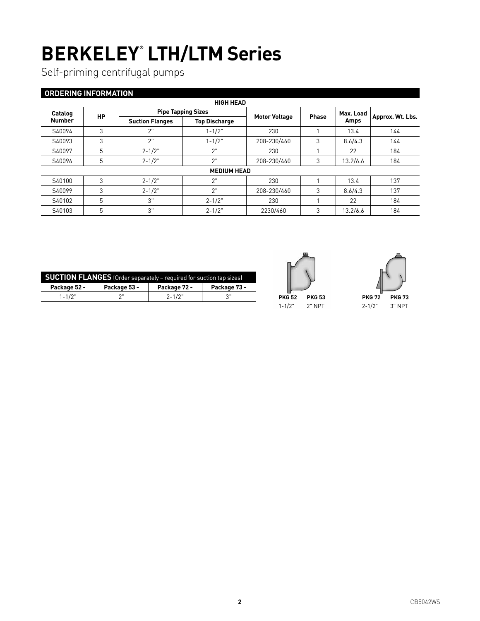Self-priming centrifugal pumps

### **ORDERING INFORMATION**

|               | <b>HIGH HEAD</b>   |                           |                      |                      |       |           |                  |  |  |  |  |  |
|---------------|--------------------|---------------------------|----------------------|----------------------|-------|-----------|------------------|--|--|--|--|--|
| Catalog       |                    | <b>Pipe Tapping Sizes</b> |                      |                      | Phase | Max. Load | Approx. Wt. Lbs. |  |  |  |  |  |
| <b>Number</b> | <b>HP</b>          | <b>Suction Flanges</b>    | <b>Top Discharge</b> | <b>Motor Voltage</b> |       | Amps      |                  |  |  |  |  |  |
| S40094        | 3                  | 2"                        | $1 - 1/2"$           | 230                  |       | 13.4      | 144              |  |  |  |  |  |
| S40093        | 3                  | 2"                        | $1 - 1/2"$           | 208-230/460          | 3     | 8.6/4.3   | 144              |  |  |  |  |  |
| S40097        | 5                  | $2 - 1/2"$                | 2"                   | 230                  |       | 22        | 184              |  |  |  |  |  |
| S40096        | 5                  | $2 - 1/2"$<br>2"          |                      | 208-230/460          | 3     | 13.2/6.6  | 184              |  |  |  |  |  |
|               | <b>MEDIUM HEAD</b> |                           |                      |                      |       |           |                  |  |  |  |  |  |
| S40100        | 3                  | $2 - 1/2"$                | 2"                   | 230                  |       | 13.4      | 137              |  |  |  |  |  |
| S40099        | 3                  | $2 - 1/2"$                | 2"                   | 208-230/460          | 3     | 8.6/4.3   | 137              |  |  |  |  |  |
| S40102        | 5                  | 3"                        | $2 - 1/2"$           | 230                  |       | 22        | 184              |  |  |  |  |  |
| S40103        | 5                  | 3"                        | $2 - 1/2"$           | 2230/460             | 3     | 13.2/6.6  | 184              |  |  |  |  |  |

| <b>SUCTION FLANGES</b> (Order separately - required for suction tap sizes) |              |              |              |  |  |  |  |  |  |  |
|----------------------------------------------------------------------------|--------------|--------------|--------------|--|--|--|--|--|--|--|
| Package 52 -                                                               | Package 53 - | Package 72 - | Package 73 - |  |  |  |  |  |  |  |
| $1 - 1/2"$                                                                 | ייר          | $2 - 1/2"$   |              |  |  |  |  |  |  |  |



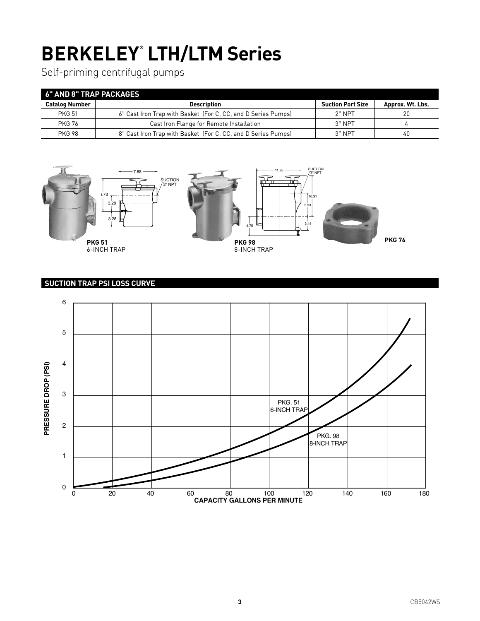Self-priming centrifugal pumps

7.88

| 6" AND 8" TRAP PACKAGES |                                                               |                          |                  |  |  |  |  |  |  |  |  |
|-------------------------|---------------------------------------------------------------|--------------------------|------------------|--|--|--|--|--|--|--|--|
| <b>Catalog Number</b>   | <b>Description</b>                                            | <b>Suction Port Size</b> | Approx. Wt. Lbs. |  |  |  |  |  |  |  |  |
| <b>PKG 51</b>           | 6" Cast Iron Trap with Basket (For C, CC, and D Series Pumps) | 2" NPT                   | 20               |  |  |  |  |  |  |  |  |
| <b>PKG 76</b>           | Cast Iron Flange for Remote Installation                      | $3"$ NPT                 |                  |  |  |  |  |  |  |  |  |
| <b>PKG 98</b>           | 8" Cast Iron Trap with Basket (For C, CC, and D Series Pumps) | $3"$ NPT                 | 40               |  |  |  |  |  |  |  |  |







8-INCH TRAP

#### **SUCTION TRAP PSI LOSS CURVE**

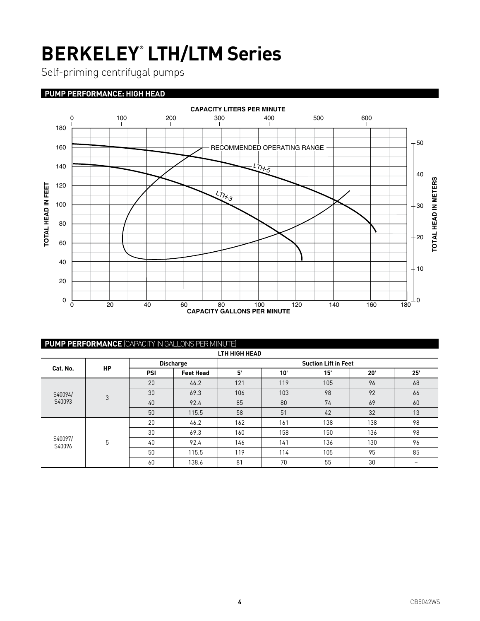Self-priming centrifugal pumps

### **PUMP PERFORMANCE: HIGH HEAD**



| PUMP PERFORMANCE (CAPACITY IN GALLONS PER MINUTE) |           |            |                  |                             |     |     |     |     |  |  |  |  |
|---------------------------------------------------|-----------|------------|------------------|-----------------------------|-----|-----|-----|-----|--|--|--|--|
| LTH HIGH HEAD                                     |           |            |                  |                             |     |     |     |     |  |  |  |  |
|                                                   | <b>HP</b> |            | <b>Discharge</b> | <b>Suction Lift in Feet</b> |     |     |     |     |  |  |  |  |
| Cat. No.                                          |           | <b>PSI</b> | <b>Feet Head</b> | 5'                          | 10' | 15" | 20' | 25' |  |  |  |  |
|                                                   |           | 20         | 46.2             | 121                         | 119 | 105 | 96  | 68  |  |  |  |  |
| S40094/<br>S40093                                 | 3         | 30         | 69.3             | 106                         | 103 | 98  | 92  | 66  |  |  |  |  |
|                                                   |           | 40         | 92.4             | 85                          | 80  | 74  | 69  | 60  |  |  |  |  |
|                                                   |           | 50         | 115.5            | 58                          | 51  | 42  | 32  | 13  |  |  |  |  |
|                                                   |           | 20         | 46.2             | 162                         | 161 | 138 | 138 | 98  |  |  |  |  |
|                                                   |           | 30         | 69.3             | 160                         | 158 | 150 | 136 | 98  |  |  |  |  |
| S40097/<br>S40096                                 | 5         | 40         | 92.4             | 146                         | 141 | 136 | 130 | 96  |  |  |  |  |
|                                                   |           | 50         | 115.5            | 119                         | 114 | 105 | 95  | 85  |  |  |  |  |
|                                                   |           | 60         | 138.6            | 81                          | 70  | 55  | 30  | -   |  |  |  |  |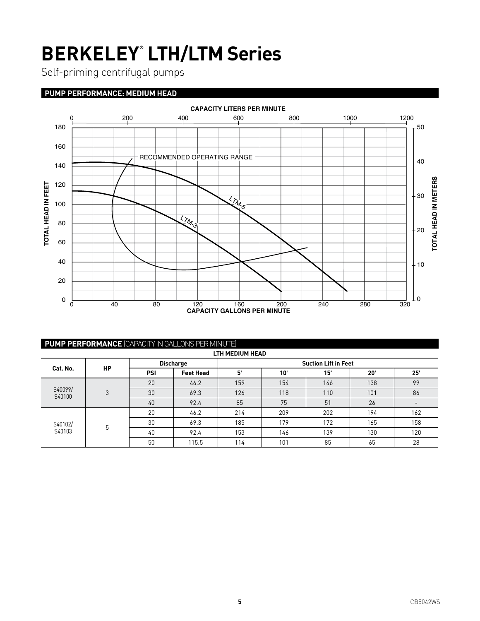Self-priming centrifugal pumps

#### **PUMP PERFORMANCE: MEDIUM HEAD**



| <b>PUMP PERFORMANCE</b> (CAPACITY IN GALLONS PER MINUTE) |           |            |                  |                             |     |     |            |                 |  |  |  |  |
|----------------------------------------------------------|-----------|------------|------------------|-----------------------------|-----|-----|------------|-----------------|--|--|--|--|
| <b>LTH MEDIUM HEAD</b>                                   |           |            |                  |                             |     |     |            |                 |  |  |  |  |
| Cat. No.                                                 |           |            | <b>Discharge</b> | <b>Suction Lift in Feet</b> |     |     |            |                 |  |  |  |  |
|                                                          | <b>HP</b> | <b>PSI</b> | <b>Feet Head</b> | 5'                          | 10' | 15" | 20'        | 25              |  |  |  |  |
| S40099/<br>S40100                                        |           | 20         | 46.2             | 159                         | 154 | 146 | 138        | 99              |  |  |  |  |
|                                                          | 3         | 30         | 69.3             | 126                         | 118 | 110 | 101        | 86              |  |  |  |  |
|                                                          |           | 40         | 92.4             | 85                          | 75  | 51  | 26         | $\qquad \qquad$ |  |  |  |  |
|                                                          |           | 20         | 46.2             | 214                         | 209 | 202 | 194        | 162             |  |  |  |  |
| S40102/<br>S40103                                        | 5         | 30         | 69.3             | 185                         | 179 | 172 | 158<br>165 |                 |  |  |  |  |
|                                                          |           | 40         | 92.4             | 153                         | 146 | 139 | 130        | 120             |  |  |  |  |
|                                                          |           | 50         | 115.5            | 114                         | 101 | 85  | 65         | 28              |  |  |  |  |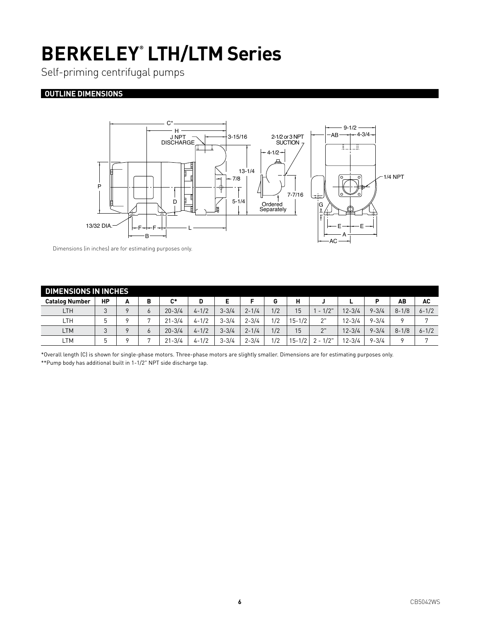Self-priming centrifugal pumps

#### **OUTLINE DIMENSIONS**



Dimensions (in inches) are for estimating purposes only.

| <b>DIMENSIONS IN INCHES</b> |               |          |              |                |           |           |           |     |            |               |            |           |           |              |
|-----------------------------|---------------|----------|--------------|----------------|-----------|-----------|-----------|-----|------------|---------------|------------|-----------|-----------|--------------|
| <b>Catalog Number</b>       | HP            | A        | в            | $\mathsf{c}^*$ | D         |           |           | G   | н          |               |            |           | AB        | AC           |
| LTH                         | $\Omega$<br>ٮ | $\Omega$ | 6            | $20 - 3/4$     | $4 - 1/2$ | $3 - 3/4$ | $2 - 1/4$ | 1/2 | 15         | $1/2$ "<br>н. | $12 - 3/4$ | $9 - 3/4$ | $8 - 1/8$ | $6 - 1/2$    |
| LTH                         | к             | Ω        | $\mathbf{r}$ | $21 - 3/4$     | $4 - 1/2$ | $3 - 3/4$ | $2 - 3/4$ | 1/2 | $15 - 1/2$ | יירי          | $12 - 3/4$ | $9 - 3/4$ | $\circ$   | $\mathbf{r}$ |
| <b>LTM</b>                  | c             | $\Omega$ | 6            | $20 - 3/4$     | $4 - 1/2$ | $3 - 3/4$ | $2 - 1/4$ | 1/2 | 15         | 2"            | $12 - 3/4$ | $9 - 3/4$ | $8 - 1/8$ | $6 - 1/2$    |
| <b>LTM</b>                  |               | o        | $\mathbf{r}$ | $21 - 3/4$     | $4 - 1/2$ | $3 - 3/4$ | $2 - 3/4$ | 1/2 | $15 - 1/2$ | $-1/2"$<br>-2 | $12 - 3/4$ | $9 - 3/4$ | $\circ$   | $\mathbf{r}$ |

\*Overall length (C) is shown for single-phase motors. Three-phase motors are slightly smaller. Dimensions are for estimating purposes only. \*\*Pump body has additional built in 1-1/2" NPT side discharge tap.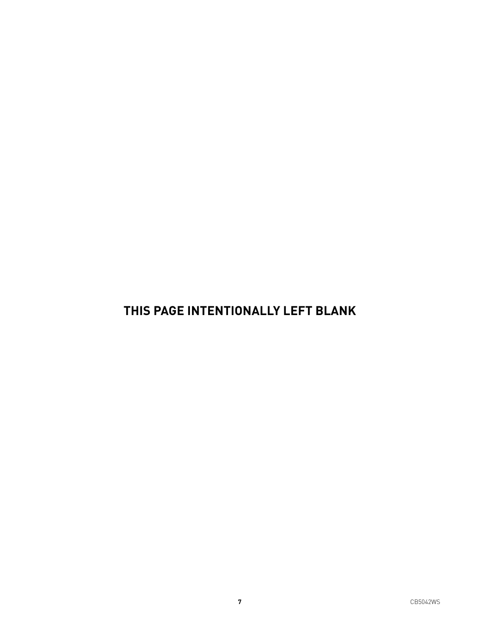### **THIS PAGE INTENTIONALLY LEFT BLANK**